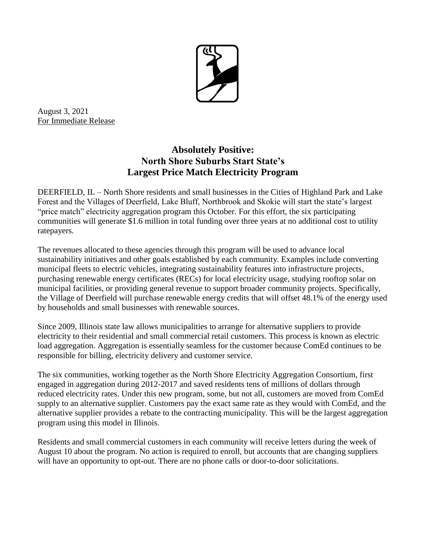

August 3, 2021 For Immediate Release

## **Absolutely Positive: North Shore Suburbs Start State's Largest Price Match Electricity Program**

DEERFIELD, IL – North Shore residents and small businesses in the Cities of Highland Park and Lake Forest and the Villages of Deerfield, Lake Bluff, Northbrook and Skokie will start the state's largest "price match" electricity aggregation program this October. For this effort, the six participating communities will generate \$1.6 million in total funding over three years at no additional cost to utility ratepayers.

The revenues allocated to these agencies through this program will be used to advance local sustainability initiatives and other goals established by each community. Examples include converting municipal fleets to electric vehicles, integrating sustainability features into infrastructure projects, purchasing renewable energy certificates (RECs) for local electricity usage, studying rooftop solar on municipal facilities, or providing general revenue to support broader community projects. Specifically, the Village of Deerfield will purchase renewable energy credits that will offset 48.1% of the energy used by households and small businesses with renewable sources.

Since 2009, Illinois state law allows municipalities to arrange for alternative suppliers to provide electricity to their residential and small commercial retail customers. This process is known as electric load aggregation. Aggregation is essentially seamless for the customer because ComEd continues to be responsible for billing, electricity delivery and customer service.

The six communities, working together as the North Shore Electricity Aggregation Consortium, first engaged in aggregation during 2012-2017 and saved residents tens of millions of dollars through reduced electricity rates. Under this new program, some, but not all, customers are moved from ComEd supply to an alternative supplier. Customers pay the exact same rate as they would with ComEd, and the alternative supplier provides a rebate to the contracting municipality. This will be the largest aggregation program using this model in Illinois.

Residents and small commercial customers in each community will receive letters during the week of August 10 about the program. No action is required to enroll, but accounts that are changing suppliers will have an opportunity to opt-out. There are no phone calls or door-to-door solicitations.